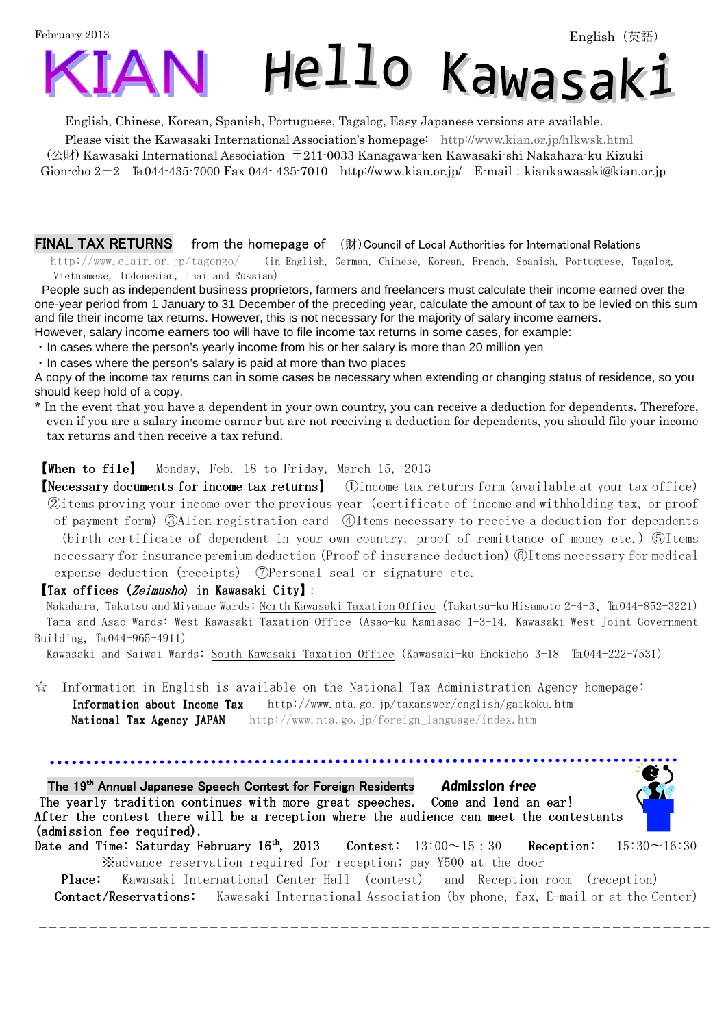# February 2013 Hello Kawasak:

English, Chinese, Korean, Spanish, Portuguese, Tagalog, Easy Japanese versions are available.

Please visit the Kawasaki International Association's homepage: http://www.kian.or.jp/hlkwsk.html (公財) Kawasaki International Association 〒211-0033 Kanagawa-ken Kawasaki-shi Nakahara-ku Kizuki Gion-cho  $2-2$  
Eu044-435-7000 Fax 044-435-7010 http://www.kian.or.jp/ E-mail: kiankawasaki@kian.or.jp

FINAL TAX RETURNS from the homepage of  $($ 財) Council of Local Authorities for International Relations http://www.clair.or.jp/tagengo/ (in English, German, Chinese, Korean, French, Spanish, Portuguese, Tagalog,

Vietnamese, Indonesian, Thai and Russian)

 $\overline{a}$ 

People such as independent business proprietors, farmers and freelancers must calculate their income earned over the one-year period from 1 January to 31 December of the preceding year, calculate the amount of tax to be levied on this sum and file their income tax returns. However, this is not necessary for the majority of salary income earners. However, salary income earners too will have to file income tax returns in some cases, for example:

・In cases where the person's yearly income from his or her salary is more than 20 million yen

・In cases where the person's salary is paid at more than two places

A copy of the income tax returns can in some cases be necessary when extending or changing status of residence, so you should keep hold of a copy.

\* In the event that you have a dependent in your own country, you can receive a deduction for dependents. Therefore, even if you are a salary income earner but are not receiving a deduction for dependents, you should file your income tax returns and then receive a tax refund.

### **【When to file】** Monday, Feb. 18 to Friday, March 15, 2013

【Necessary documents for income tax returns】 ①income tax returns form (available at your tax office) ②items proving your income over the previous year(certificate of income and withholding tax, or proof of payment form)③Alien registration card ④Items necessary to receive a deduction for dependents (birth certificate of dependent in your own country, proof of remittance of money etc.)⑤Items necessary for insurance premium deduction(Proof of insurance deduction)⑥Items necessary for medical expense deduction (receipts) ⑦Personal seal or signature etc.

#### $\begin{bmatrix} \text{Tax offices} \end{bmatrix}$  (*Zeimusho*) in Kawasaki City】:

Nakahara, Takatsu and Miyamae Wards: North Kawasaki Taxation Office (Takatsu-ku Hisamoto 2-4-3、℡044-852-3221) Tama and Asao Wards: West Kawasaki Taxation Office(Asao-ku Kamiasao 1-3-14, Kawasaki West Joint Government Building,  $\text{Im} 044 - 965 - 4911$ 

Kawasaki and Saiwai Wards: <u>South Kawasaki Taxation Office</u> (Kawasaki-ku Enokicho 3-18 ℡044-222-7531)

 $\hat{\varphi}$  Information in English is available on the National Tax Administration Agency homepage: Information about Income Tax http://www.nta.go.jp/taxanswer/english/gaikoku.htm National Tax Agency JAPAN http://www.nta.go.jp/foreign\_language/index.htm

The 19<sup>th</sup> Annual Japanese Speech Contest for Foreign Residents **Admission free** The yearly tradition continues with more great speeches. Come and lend an ear! After the contest there will be a reception where the audience can meet the contestants (admission fee required). (admission fee required). Date and Time: Saturday February 16<sup>th</sup>, 2013 Contest:  $13:00 \sim 15:30$  Reception:  $15:30 \sim 16:30$  ※advance reservation required for reception; pay \500 at the door Place: Kawasaki International Center Hall (contest) and Reception room (reception) Contact/Reservations: Kawasaki International Association (by phone, fax, E-mail or at the Center)